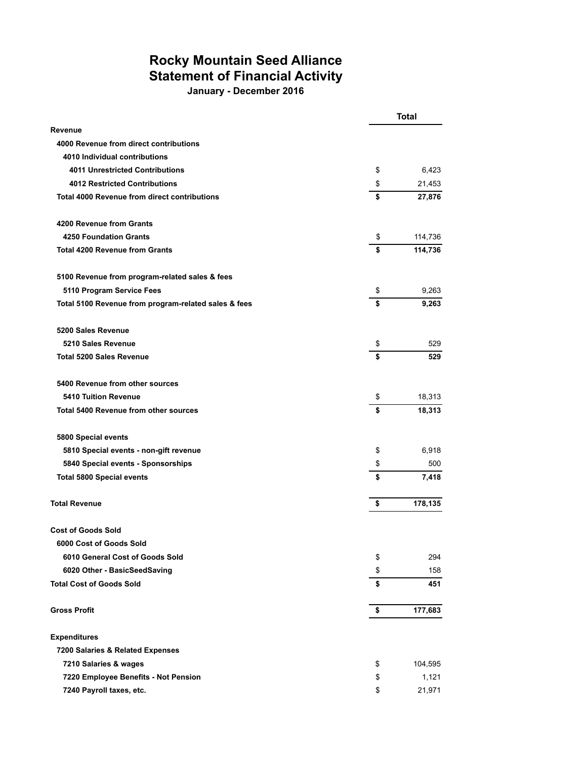## **Rocky Mountain Seed Alliance Statement of Financial Activity**

**January - December 2016**

|                                                      | <b>Total</b> |         |
|------------------------------------------------------|--------------|---------|
| Revenue                                              |              |         |
| 4000 Revenue from direct contributions               |              |         |
| 4010 Individual contributions                        |              |         |
| <b>4011 Unrestricted Contributions</b>               | \$           | 6,423   |
| <b>4012 Restricted Contributions</b>                 | \$           | 21,453  |
| Total 4000 Revenue from direct contributions         | \$           | 27,876  |
| 4200 Revenue from Grants                             |              |         |
| <b>4250 Foundation Grants</b>                        | \$           | 114,736 |
| <b>Total 4200 Revenue from Grants</b>                | \$           | 114,736 |
| 5100 Revenue from program-related sales & fees       |              |         |
| 5110 Program Service Fees                            | \$           | 9,263   |
| Total 5100 Revenue from program-related sales & fees | \$           | 9,263   |
| 5200 Sales Revenue                                   |              |         |
| 5210 Sales Revenue                                   | \$           | 529     |
| <b>Total 5200 Sales Revenue</b>                      | \$           | 529     |
| 5400 Revenue from other sources                      |              |         |
| <b>5410 Tuition Revenue</b>                          | \$           | 18,313  |
| <b>Total 5400 Revenue from other sources</b>         | \$           | 18,313  |
| 5800 Special events                                  |              |         |
| 5810 Special events - non-gift revenue               | \$           | 6,918   |
| 5840 Special events - Sponsorships                   | \$           | 500     |
| <b>Total 5800 Special events</b>                     | \$           | 7,418   |
| <b>Total Revenue</b>                                 | \$           | 178,135 |
| <b>Cost of Goods Sold</b>                            |              |         |
| 6000 Cost of Goods Sold                              |              |         |
| 6010 General Cost of Goods Sold                      | \$           | 294     |
| 6020 Other - BasicSeedSaving                         | \$           | 158     |
| <b>Total Cost of Goods Sold</b>                      | \$           | 451     |
| <b>Gross Profit</b>                                  | \$           | 177,683 |
| <b>Expenditures</b>                                  |              |         |
| 7200 Salaries & Related Expenses                     |              |         |
| 7210 Salaries & wages                                | \$           | 104,595 |
| 7220 Employee Benefits - Not Pension                 | \$           | 1,121   |
| 7240 Payroll taxes, etc.                             | \$           | 21,971  |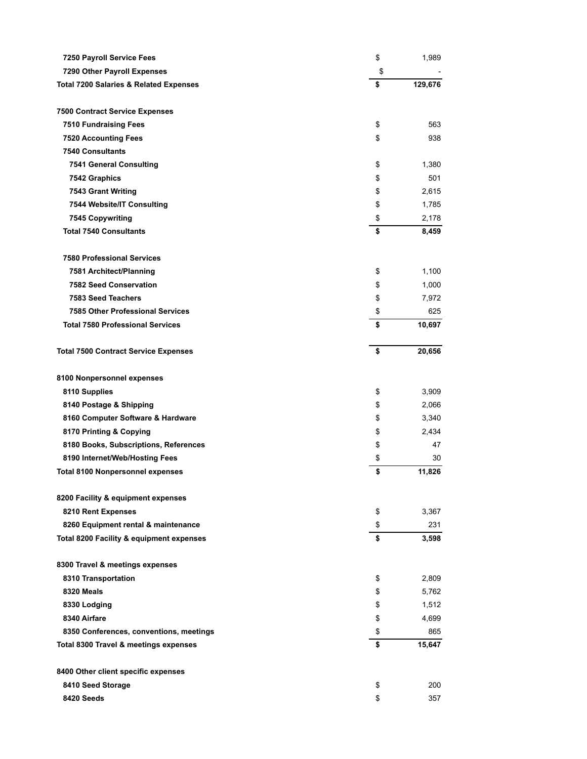| 7250 Payroll Service Fees                         | \$<br>1,989   |
|---------------------------------------------------|---------------|
| 7290 Other Payroll Expenses                       | \$            |
| <b>Total 7200 Salaries &amp; Related Expenses</b> | \$<br>129,676 |
|                                                   |               |
| <b>7500 Contract Service Expenses</b>             |               |
| <b>7510 Fundraising Fees</b>                      | \$<br>563     |
| <b>7520 Accounting Fees</b>                       | \$<br>938     |
| <b>7540 Consultants</b>                           |               |
| <b>7541 General Consulting</b>                    | \$<br>1,380   |
| 7542 Graphics                                     | \$<br>501     |
| 7543 Grant Writing                                | \$<br>2,615   |
| 7544 Website/IT Consulting                        | \$<br>1,785   |
| <b>7545 Copywriting</b>                           | \$<br>2,178   |
| <b>Total 7540 Consultants</b>                     | \$<br>8,459   |
|                                                   |               |
| <b>7580 Professional Services</b>                 |               |
| 7581 Architect/Planning                           | \$<br>1,100   |
| <b>7582 Seed Conservation</b>                     | \$<br>1,000   |
| 7583 Seed Teachers                                | \$<br>7,972   |
| <b>7585 Other Professional Services</b>           | \$<br>625     |
| <b>Total 7580 Professional Services</b>           | \$<br>10,697  |
| <b>Total 7500 Contract Service Expenses</b>       | \$<br>20,656  |
| 8100 Nonpersonnel expenses                        |               |
| 8110 Supplies                                     | \$<br>3,909   |
| 8140 Postage & Shipping                           | \$<br>2,066   |
| 8160 Computer Software & Hardware                 | \$<br>3,340   |
| 8170 Printing & Copying                           | \$<br>2,434   |
| 8180 Books, Subscriptions, References             | \$<br>47      |
| 8190 Internet/Web/Hosting Fees                    | \$<br>30      |
| <b>Total 8100 Nonpersonnel expenses</b>           | \$<br>11,826  |
|                                                   |               |
| 8200 Facility & equipment expenses                |               |
| 8210 Rent Expenses                                | \$<br>3,367   |
| 8260 Equipment rental & maintenance               | \$<br>231     |
| Total 8200 Facility & equipment expenses          | \$<br>3,598   |
| 8300 Travel & meetings expenses                   |               |
| 8310 Transportation                               | \$<br>2,809   |
| 8320 Meals                                        | \$<br>5,762   |
| 8330 Lodging                                      | \$<br>1,512   |
| 8340 Airfare                                      | \$<br>4,699   |
| 8350 Conferences, conventions, meetings           | \$<br>865     |
| Total 8300 Travel & meetings expenses             | \$<br>15,647  |
|                                                   |               |
| 8400 Other client specific expenses               |               |
| 8410 Seed Storage                                 | \$<br>200     |
| 8420 Seeds                                        | \$<br>357     |